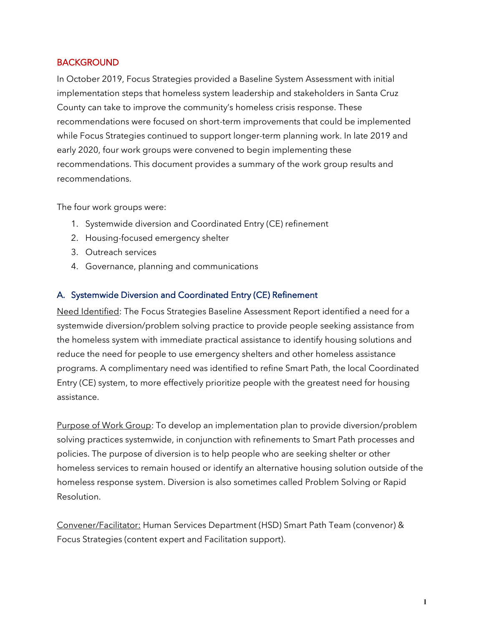# **BACKGROUND**

In October 2019, Focus Strategies provided a Baseline System Assessment with initial implementation steps that homeless system leadership and stakeholders in Santa Cruz County can take to improve the community's homeless crisis response. These recommendations were focused on short-term improvements that could be implemented while Focus Strategies continued to support longer-term planning work. In late 2019 and early 2020, four work groups were convened to begin implementing these recommendations. This document provides a summary of the work group results and recommendations.

The four work groups were:

- 1. Systemwide diversion and Coordinated Entry (CE) refinement
- 2. Housing-focused emergency shelter
- 3. Outreach services
- 4. Governance, planning and communications

# A. Systemwide Diversion and Coordinated Entry (CE) Refinement

Need Identified: The Focus Strategies Baseline Assessment Report identified a need for a systemwide diversion/problem solving practice to provide people seeking assistance from the homeless system with immediate practical assistance to identify housing solutions and reduce the need for people to use emergency shelters and other homeless assistance programs. A complimentary need was identified to refine Smart Path, the local Coordinated Entry (CE) system, to more effectively prioritize people with the greatest need for housing assistance.

Purpose of Work Group: To develop an implementation plan to provide diversion/problem solving practices systemwide, in conjunction with refinements to Smart Path processes and policies. The purpose of diversion is to help people who are seeking shelter or other homeless services to remain housed or identify an alternative housing solution outside of the homeless response system. Diversion is also sometimes called Problem Solving or Rapid Resolution.

Convener/Facilitator: Human Services Department (HSD) Smart Path Team (convenor) & Focus Strategies (content expert and Facilitation support).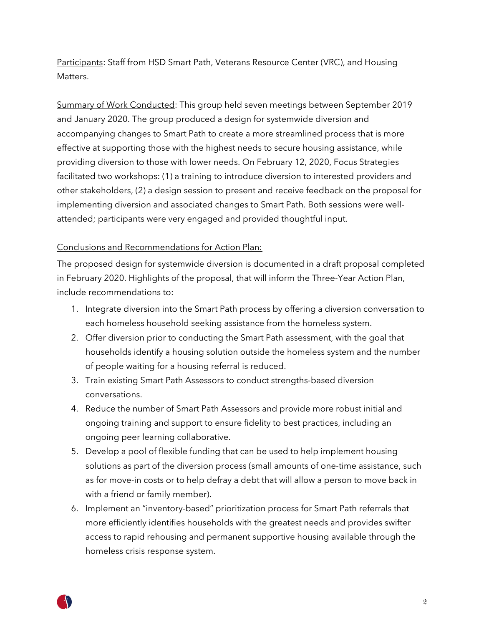Participants: Staff from HSD Smart Path, Veterans Resource Center (VRC), and Housing Matters.

Summary of Work Conducted: This group held seven meetings between September 2019 and January 2020. The group produced a design for systemwide diversion and accompanying changes to Smart Path to create a more streamlined process that is more effective at supporting those with the highest needs to secure housing assistance, while providing diversion to those with lower needs. On February 12, 2020, Focus Strategies facilitated two workshops: (1) a training to introduce diversion to interested providers and other stakeholders, (2) a design session to present and receive feedback on the proposal for implementing diversion and associated changes to Smart Path. Both sessions were wellattended; participants were very engaged and provided thoughtful input.

## Conclusions and Recommendations for Action Plan:

The proposed design for systemwide diversion is documented in a draft proposal completed in February 2020. Highlights of the proposal, that will inform the Three-Year Action Plan, include recommendations to:

- 1. Integrate diversion into the Smart Path process by offering a diversion conversation to each homeless household seeking assistance from the homeless system.
- 2. Offer diversion prior to conducting the Smart Path assessment, with the goal that households identify a housing solution outside the homeless system and the number of people waiting for a housing referral is reduced.
- 3. Train existing Smart Path Assessors to conduct strengths-based diversion conversations.
- 4. Reduce the number of Smart Path Assessors and provide more robust initial and ongoing training and support to ensure fidelity to best practices, including an ongoing peer learning collaborative.
- 5. Develop a pool of flexible funding that can be used to help implement housing solutions as part of the diversion process (small amounts of one-time assistance, such as for move-in costs or to help defray a debt that will allow a person to move back in with a friend or family member).
- 6. Implement an "inventory-based" prioritization process for Smart Path referrals that more efficiently identifies households with the greatest needs and provides swifter access to rapid rehousing and permanent supportive housing available through the homeless crisis response system.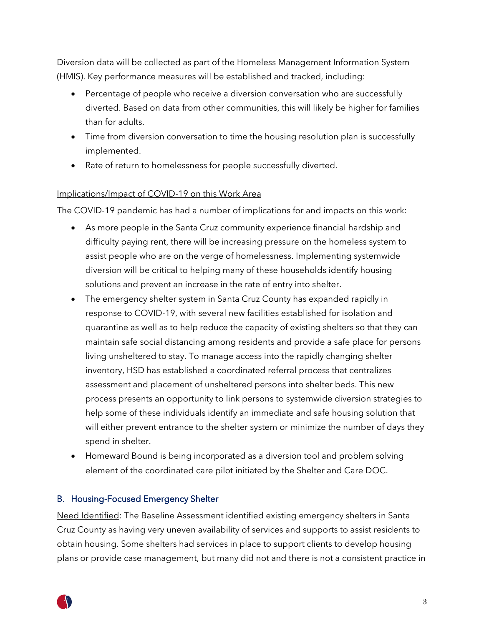Diversion data will be collected as part of the Homeless Management Information System (HMIS). Key performance measures will be established and tracked, including:

- Percentage of people who receive a diversion conversation who are successfully diverted. Based on data from other communities, this will likely be higher for families than for adults.
- Time from diversion conversation to time the housing resolution plan is successfully implemented.
- Rate of return to homelessness for people successfully diverted.

# Implications/Impact of COVID-19 on this Work Area

The COVID-19 pandemic has had a number of implications for and impacts on this work:

- As more people in the Santa Cruz community experience financial hardship and difficulty paying rent, there will be increasing pressure on the homeless system to assist people who are on the verge of homelessness. Implementing systemwide diversion will be critical to helping many of these households identify housing solutions and prevent an increase in the rate of entry into shelter.
- The emergency shelter system in Santa Cruz County has expanded rapidly in response to COVID-19, with several new facilities established for isolation and quarantine as well as to help reduce the capacity of existing shelters so that they can maintain safe social distancing among residents and provide a safe place for persons living unsheltered to stay. To manage access into the rapidly changing shelter inventory, HSD has established a coordinated referral process that centralizes assessment and placement of unsheltered persons into shelter beds. This new process presents an opportunity to link persons to systemwide diversion strategies to help some of these individuals identify an immediate and safe housing solution that will either prevent entrance to the shelter system or minimize the number of days they spend in shelter.
- Homeward Bound is being incorporated as a diversion tool and problem solving element of the coordinated care pilot initiated by the Shelter and Care DOC.

# B. Housing-Focused Emergency Shelter

Need Identified: The Baseline Assessment identified existing emergency shelters in Santa Cruz County as having very uneven availability of services and supports to assist residents to obtain housing. Some shelters had services in place to support clients to develop housing plans or provide case management, but many did not and there is not a consistent practice in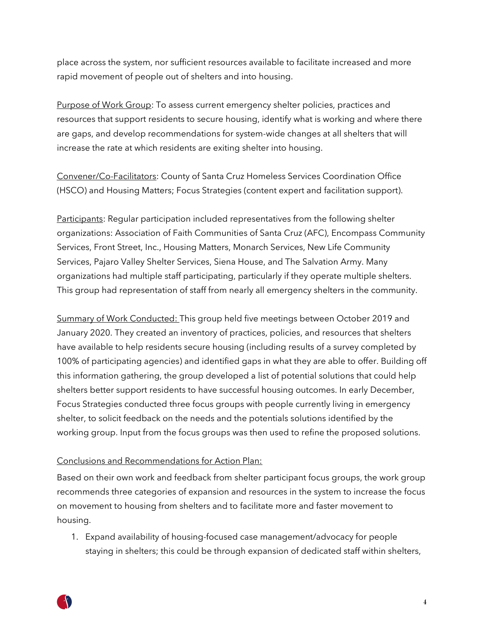place across the system, nor sufficient resources available to facilitate increased and more rapid movement of people out of shelters and into housing.

Purpose of Work Group: To assess current emergency shelter policies, practices and resources that support residents to secure housing, identify what is working and where there are gaps, and develop recommendations for system-wide changes at all shelters that will increase the rate at which residents are exiting shelter into housing.

Convener/Co-Facilitators: County of Santa Cruz Homeless Services Coordination Office (HSCO) and Housing Matters; Focus Strategies (content expert and facilitation support).

Participants: Regular participation included representatives from the following shelter organizations: Association of Faith Communities of Santa Cruz (AFC), Encompass Community Services, Front Street, Inc., Housing Matters, Monarch Services, New Life Community Services, Pajaro Valley Shelter Services, Siena House, and The Salvation Army. Many organizations had multiple staff participating, particularly if they operate multiple shelters. This group had representation of staff from nearly all emergency shelters in the community.

Summary of Work Conducted: This group held five meetings between October 2019 and January 2020. They created an inventory of practices, policies, and resources that shelters have available to help residents secure housing (including results of a survey completed by 100% of participating agencies) and identified gaps in what they are able to offer. Building off this information gathering, the group developed a list of potential solutions that could help shelters better support residents to have successful housing outcomes. In early December, Focus Strategies conducted three focus groups with people currently living in emergency shelter, to solicit feedback on the needs and the potentials solutions identified by the working group. Input from the focus groups was then used to refine the proposed solutions.

### Conclusions and Recommendations for Action Plan:

Based on their own work and feedback from shelter participant focus groups, the work group recommends three categories of expansion and resources in the system to increase the focus on movement to housing from shelters and to facilitate more and faster movement to housing.

1. Expand availability of housing-focused case management/advocacy for people staying in shelters; this could be through expansion of dedicated staff within shelters,

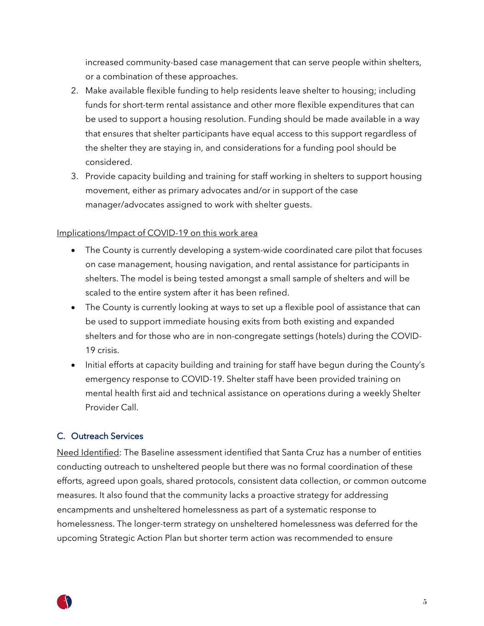increased community-based case management that can serve people within shelters, or a combination of these approaches.

- 2. Make available flexible funding to help residents leave shelter to housing; including funds for short-term rental assistance and other more flexible expenditures that can be used to support a housing resolution. Funding should be made available in a way that ensures that shelter participants have equal access to this support regardless of the shelter they are staying in, and considerations for a funding pool should be considered.
- 3. Provide capacity building and training for staff working in shelters to support housing movement, either as primary advocates and/or in support of the case manager/advocates assigned to work with shelter guests.

## Implications/Impact of COVID-19 on this work area

- The County is currently developing a system-wide coordinated care pilot that focuses on case management, housing navigation, and rental assistance for participants in shelters. The model is being tested amongst a small sample of shelters and will be scaled to the entire system after it has been refined.
- The County is currently looking at ways to set up a flexible pool of assistance that can be used to support immediate housing exits from both existing and expanded shelters and for those who are in non-congregate settings (hotels) during the COVID-19 crisis.
- Initial efforts at capacity building and training for staff have begun during the County's emergency response to COVID-19. Shelter staff have been provided training on mental health first aid and technical assistance on operations during a weekly Shelter Provider Call.

# C. Outreach Services

Need Identified: The Baseline assessment identified that Santa Cruz has a number of entities conducting outreach to unsheltered people but there was no formal coordination of these efforts, agreed upon goals, shared protocols, consistent data collection, or common outcome measures. It also found that the community lacks a proactive strategy for addressing encampments and unsheltered homelessness as part of a systematic response to homelessness. The longer-term strategy on unsheltered homelessness was deferred for the upcoming Strategic Action Plan but shorter term action was recommended to ensure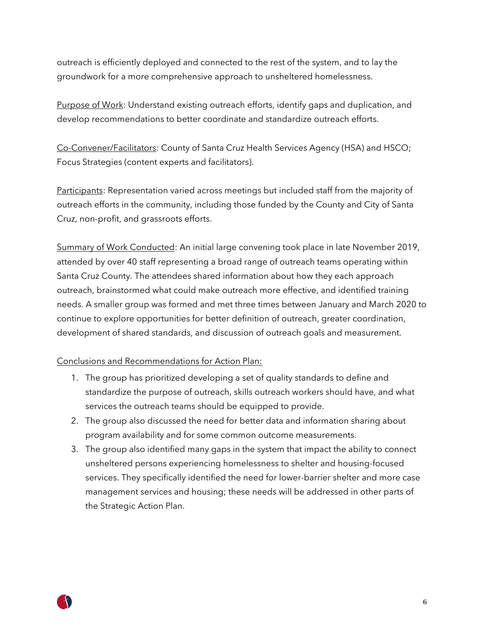outreach is efficiently deployed and connected to the rest of the system, and to lay the groundwork for a more comprehensive approach to unsheltered homelessness.

Purpose of Work: Understand existing outreach efforts, identify gaps and duplication, and develop recommendations to better coordinate and standardize outreach efforts.

Co-Convener/Facilitators: County of Santa Cruz Health Services Agency (HSA) and HSCO; Focus Strategies (content experts and facilitators).

Participants: Representation varied across meetings but included staff from the majority of outreach efforts in the community, including those funded by the County and City of Santa Cruz, non-profit, and grassroots efforts.

Summary of Work Conducted: An initial large convening took place in late November 2019, attended by over 40 staff representing a broad range of outreach teams operating within Santa Cruz County. The attendees shared information about how they each approach outreach, brainstormed what could make outreach more effective, and identified training needs. A smaller group was formed and met three times between January and March 2020 to continue to explore opportunities for better definition of outreach, greater coordination, development of shared standards, and discussion of outreach goals and measurement.

# Conclusions and Recommendations for Action Plan:

- 1. The group has prioritized developing a set of quality standards to define and standardize the purpose of outreach, skills outreach workers should have, and what services the outreach teams should be equipped to provide.
- 2. The group also discussed the need for better data and information sharing about program availability and for some common outcome measurements.
- 3. The group also identified many gaps in the system that impact the ability to connect unsheltered persons experiencing homelessness to shelter and housing-focused services. They specifically identified the need for lower-barrier shelter and more case management services and housing; these needs will be addressed in other parts of the Strategic Action Plan.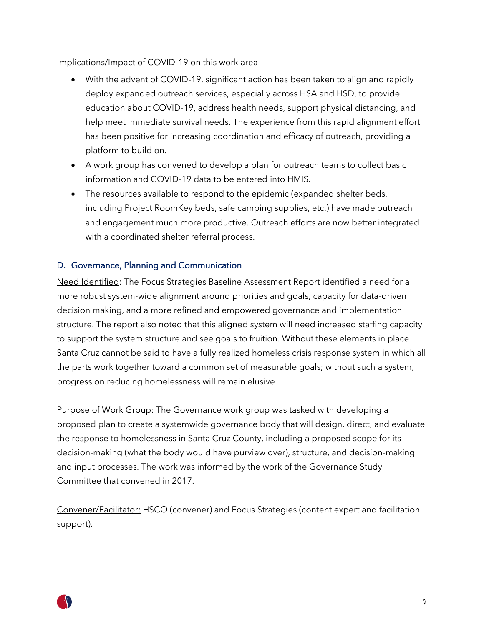### Implications/Impact of COVID-19 on this work area

- With the advent of COVID-19, significant action has been taken to align and rapidly deploy expanded outreach services, especially across HSA and HSD, to provide education about COVID-19, address health needs, support physical distancing, and help meet immediate survival needs. The experience from this rapid alignment effort has been positive for increasing coordination and efficacy of outreach, providing a platform to build on.
- A work group has convened to develop a plan for outreach teams to collect basic information and COVID-19 data to be entered into HMIS.
- The resources available to respond to the epidemic (expanded shelter beds, including Project RoomKey beds, safe camping supplies, etc.) have made outreach and engagement much more productive. Outreach efforts are now better integrated with a coordinated shelter referral process.

## D. Governance, Planning and Communication

Need Identified: The Focus Strategies Baseline Assessment Report identified a need for a more robust system-wide alignment around priorities and goals, capacity for data-driven decision making, and a more refined and empowered governance and implementation structure. The report also noted that this aligned system will need increased staffing capacity to support the system structure and see goals to fruition. Without these elements in place Santa Cruz cannot be said to have a fully realized homeless crisis response system in which all the parts work together toward a common set of measurable goals; without such a system, progress on reducing homelessness will remain elusive.

Purpose of Work Group: The Governance work group was tasked with developing a proposed plan to create a systemwide governance body that will design, direct, and evaluate the response to homelessness in Santa Cruz County, including a proposed scope for its decision-making (what the body would have purview over), structure, and decision-making and input processes. The work was informed by the work of the Governance Study Committee that convened in 2017.

Convener/Facilitator: HSCO (convener) and Focus Strategies (content expert and facilitation support).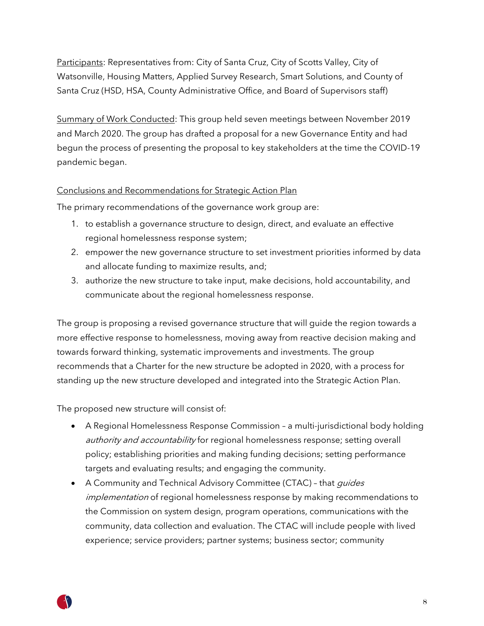Participants: Representatives from: City of Santa Cruz, City of Scotts Valley, City of Watsonville, Housing Matters, Applied Survey Research, Smart Solutions, and County of Santa Cruz (HSD, HSA, County Administrative Office, and Board of Supervisors staff)

Summary of Work Conducted: This group held seven meetings between November 2019 and March 2020. The group has drafted a proposal for a new Governance Entity and had begun the process of presenting the proposal to key stakeholders at the time the COVID-19 pandemic began.

# Conclusions and Recommendations for Strategic Action Plan

The primary recommendations of the governance work group are:

- 1. to establish a governance structure to design, direct, and evaluate an effective regional homelessness response system;
- 2. empower the new governance structure to set investment priorities informed by data and allocate funding to maximize results, and;
- 3. authorize the new structure to take input, make decisions, hold accountability, and communicate about the regional homelessness response.

The group is proposing a revised governance structure that will guide the region towards a more effective response to homelessness, moving away from reactive decision making and towards forward thinking, systematic improvements and investments. The group recommends that a Charter for the new structure be adopted in 2020, with a process for standing up the new structure developed and integrated into the Strategic Action Plan.

The proposed new structure will consist of:

- A Regional Homelessness Response Commission a multi-jurisdictional body holding authority and accountability for regional homelessness response; setting overall policy; establishing priorities and making funding decisions; setting performance targets and evaluating results; and engaging the community.
- A Community and Technical Advisory Committee (CTAC) that *quides* implementation of regional homelessness response by making recommendations to the Commission on system design, program operations, communications with the community, data collection and evaluation. The CTAC will include people with lived experience; service providers; partner systems; business sector; community